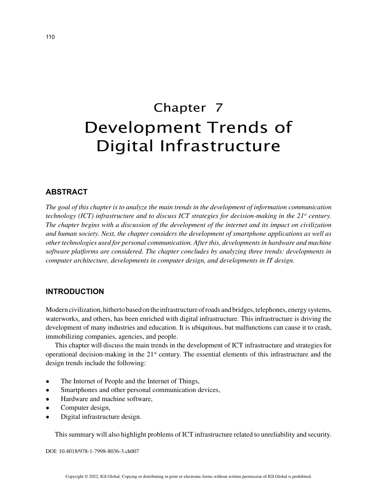# Chapter 7 Development Trends of Digital Infrastructure

## **ABSTRACT**

*The goal of this chapter is to analyze the main trends in the development of information communication technology (ICT) infrastructure and to discuss ICT strategies for decision-making in the 21<sup>st</sup> century. The chapter begins with a discussion of the development of the internet and its impact on civilization and human society. Next, the chapter considers the development of smartphone applications as well as other technologies used for personal communication. After this, developments in hardware and machine software platforms are considered. The chapter concludes by analyzing three trends: developments in computer architecture, developments in computer design, and developments in IT design.*

#### **INTRODUCTION**

Modern civilization, hitherto based on the infrastructure of roads and bridges, telephones, energy systems, waterworks, and others, has been enriched with digital infrastructure. This infrastructure is driving the development of many industries and education. It is ubiquitous, but malfunctions can cause it to crash, immobilizing companies, agencies, and people.

This chapter will discuss the main trends in the development of ICT infrastructure and strategies for operational decision-making in the 21st century. The essential elements of this infrastructure and the design trends include the following:

- The Internet of People and the Internet of Things,
- Smartphones and other personal communication devices,
- Hardware and machine software,
- Computer design,
- Digital infrastructure design.

This summary will also highlight problems of ICT infrastructure related to unreliability and security.

DOI: 10.4018/978-1-7998-8036-3.ch007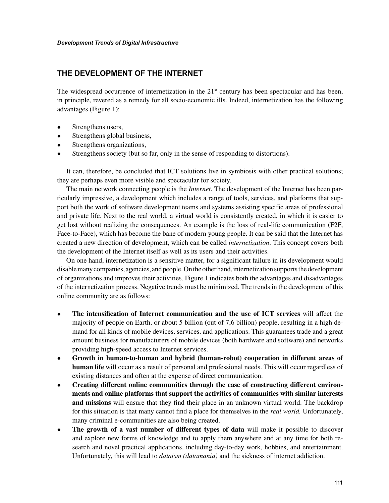# **THE DEVELOPMENT OF THE INTERNET**

The widespread occurrence of internetization in the  $21<sup>st</sup>$  century has been spectacular and has been, in principle, revered as a remedy for all socio-economic ills. Indeed, internetization has the following advantages (Figure 1):

- Strengthens users,
- Strengthens global business,
- Strengthens organizations,
- Strengthens society (but so far, only in the sense of responding to distortions).

It can, therefore, be concluded that ICT solutions live in symbiosis with other practical solutions; they are perhaps even more visible and spectacular for society.

The main network connecting people is the *Internet*. The development of the Internet has been particularly impressive, a development which includes a range of tools, services, and platforms that support both the work of software development teams and systems assisting specific areas of professional and private life. Next to the real world, a virtual world is consistently created, in which it is easier to get lost without realizing the consequences. An example is the loss of real-life communication (F2F, Face-to-Face), which has become the bane of modern young people. It can be said that the Internet has created a new direction of development, which can be called *internetization*. This concept covers both the development of the Internet itself as well as its users and their activities.

On one hand, internetization is a sensitive matter, for a significant failure in its development would disable many companies, agencies, and people. On the other hand, internetization supports the development of organizations and improves their activities. Figure 1 indicates both the advantages and disadvantages of the internetization process. Negative trends must be minimized. The trends in the development of this online community are as follows:

- **The intensification of Internet communication and the use of ICT services** will affect the majority of people on Earth, or about 5 billion (out of 7,6 billion) people, resulting in a high demand for all kinds of mobile devices, services, and applications. This guarantees trade and a great amount business for manufacturers of mobile devices (both hardware and software) and networks providing high-speed access to Internet services.
- **Growth in human-to-human and hybrid (human-robot) cooperation in different areas of human life** will occur as a result of personal and professional needs. This will occur regardless of existing distances and often at the expense of direct communication.
- **Creating different online communities through the ease of constructing different environments and online platforms that support the activities of communities with similar interests and missions** will ensure that they find their place in an unknown virtual world. The backdrop for this situation is that many cannot find a place for themselves in the *real world.* Unfortunately, many criminal e-communities are also being created.
- **The growth of a vast number of different types of data** will make it possible to discover and explore new forms of knowledge and to apply them anywhere and at any time for both research and novel practical applications, including day-to-day work, hobbies, and entertainment. Unfortunately, this will lead to *dataism (datamania)* and the sickness of internet addiction.